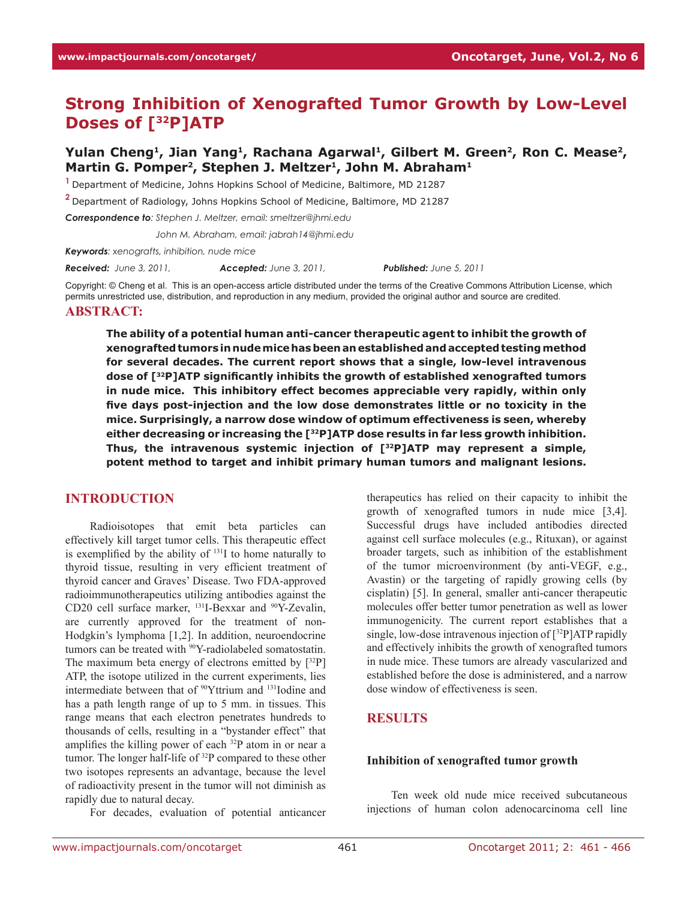# **Strong Inhibition of Xenografted Tumor Growth by Low-Level Doses of [32P]ATP**

# Yulan Cheng<sup>1</sup>, Jian Yang<sup>1</sup>, Rachana Agarwal<sup>1</sup>, Gilbert M. Green<sup>2</sup>, Ron C. Mease<sup>2</sup>, Martin G. Pomper<sup>2</sup>, Stephen J. Meltzer<sup>1</sup>, John M. Abraham<sup>1</sup>

**<sup>1</sup>**Department of Medicine, Johns Hopkins School of Medicine, Baltimore, MD 21287

**<sup>2</sup>**Department of Radiology, Johns Hopkins School of Medicine, Baltimore, MD 21287

*Correspondence to: Stephen J. Meltzer, email: smeltzer@jhmi.edu*

*Correspondence to: John M. Abraham, email: jabrah14@jhmi.edu*

*Keywords: xenografts, inhibition, nude mice*

*Received: June 3, 2011, Accepted: June 3, 2011, Published: June 5, 2011*

Copyright: © Cheng et al. This is an open-access article distributed under the terms of the Creative Commons Attribution License, which permits unrestricted use, distribution, and reproduction in any medium, provided the original author and source are credited. **Abstract:**

**The ability of a potential human anti-cancer therapeutic agent to inhibit the growth of xenografted tumors in nude mice has been an established and accepted testing method for several decades. The current report shows that a single, low-level intravenous dose of [32P]ATP significantly inhibits the growth of established xenografted tumors in nude mice. This inhibitory effect becomes appreciable very rapidly, within only five days post-injection and the low dose demonstrates little or no toxicity in the mice. Surprisingly, a narrow dose window of optimum effectiveness is seen, whereby either decreasing or increasing the [32P]ATP dose results in far less growth inhibition. Thus, the intravenous systemic injection of [32P]ATP may represent a simple, potent method to target and inhibit primary human tumors and malignant lesions.**

#### **INTRODUCTION**

Radioisotopes that emit beta particles can effectively kill target tumor cells. This therapeutic effect is exemplified by the ability of  $131$  to home naturally to thyroid tissue, resulting in very efficient treatment of thyroid cancer and Graves' Disease. Two FDA-approved radioimmunotherapeutics utilizing antibodies against the CD20 cell surface marker, 131I-Bexxar and 90Y-Zevalin, are currently approved for the treatment of non-Hodgkin's lymphoma [1,2]. In addition, neuroendocrine tumors can be treated with <sup>90</sup>Y-radiolabeled somatostatin. The maximum beta energy of electrons emitted by  $[32P]$ ATP, the isotope utilized in the current experiments, lies intermediate between that of 90Yttrium and 131Iodine and has a path length range of up to 5 mm. in tissues. This range means that each electron penetrates hundreds to thousands of cells, resulting in a "bystander effect" that amplifies the killing power of each 32P atom in or near a tumor. The longer half-life of 32P compared to these other two isotopes represents an advantage, because the level of radioactivity present in the tumor will not diminish as rapidly due to natural decay.

For decades, evaluation of potential anticancer

therapeutics has relied on their capacity to inhibit the growth of xenografted tumors in nude mice [3,4]. Successful drugs have included antibodies directed against cell surface molecules (e.g., Rituxan), or against broader targets, such as inhibition of the establishment of the tumor microenvironment (by anti-VEGF, e.g., Avastin) or the targeting of rapidly growing cells (by cisplatin) [5]. In general, smaller anti-cancer therapeutic molecules offer better tumor penetration as well as lower immunogenicity. The current report establishes that a single, low-dose intravenous injection of [32P]ATP rapidly and effectively inhibits the growth of xenografted tumors in nude mice. These tumors are already vascularized and established before the dose is administered, and a narrow dose window of effectiveness is seen.

### **RESULTS**

#### **Inhibition of xenografted tumor growth**

Ten week old nude mice received subcutaneous injections of human colon adenocarcinoma cell line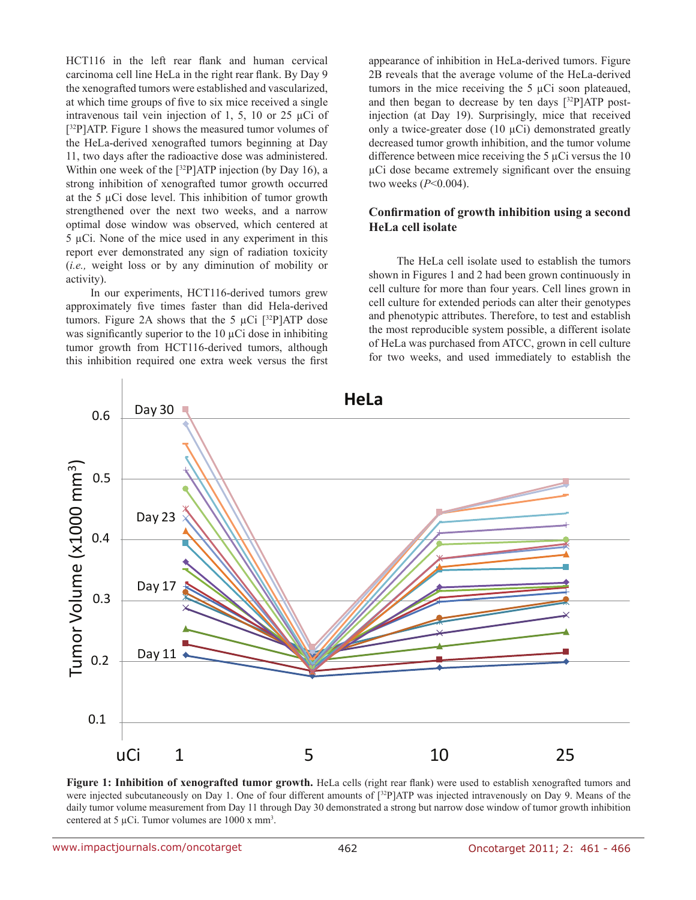HCT116 in the left rear flank and human cervical carcinoma cell line HeLa in the right rear flank. By Day 9 the xenografted tumors were established and vascularized, at which time groups of five to six mice received a single intravenous tail vein injection of 1, 5, 10 or 25 µCi of [<sup>32</sup>P]ATP. Figure 1 shows the measured tumor volumes of the HeLa-derived xenografted tumors beginning at Day 11, two days after the radioactive dose was administered. Within one week of the  $[32P]ATP$  injection (by Day 16), a strong inhibition of xenografted tumor growth occurred at the 5 µCi dose level. This inhibition of tumor growth strengthened over the next two weeks, and a narrow optimal dose window was observed, which centered at 5 µCi. None of the mice used in any experiment in this report ever demonstrated any sign of radiation toxicity (*i.e.,* weight loss or by any diminution of mobility or activity).

In our experiments, HCT116-derived tumors grew approximately five times faster than did Hela-derived tumors. Figure 2A shows that the 5  $\mu$ Ci [<sup>32</sup>P]ATP dose was significantly superior to the  $10 \mu$ Ci dose in inhibiting tumor growth from HCT116-derived tumors, although this inhibition required one extra week versus the first appearance of inhibition in HeLa-derived tumors. Figure 2B reveals that the average volume of the HeLa-derived tumors in the mice receiving the 5 µCi soon plateaued, and then began to decrease by ten days  $[32P]ATP$  postinjection (at Day 19). Surprisingly, mice that received only a twice-greater dose  $(10 \mu\text{Ci})$  demonstrated greatly decreased tumor growth inhibition, and the tumor volume difference between mice receiving the 5 µCi versus the 10 µCi dose became extremely significant over the ensuing two weeks (*P*<0.004).

### **Confirmation of growth inhibition using a second HeLa cell isolate**

 The HeLa cell isolate used to establish the tumors shown in Figures 1 and 2 had been grown continuously in cell culture for more than four years. Cell lines grown in cell culture for extended periods can alter their genotypes and phenotypic attributes. Therefore, to test and establish the most reproducible system possible, a different isolate of HeLa was purchased from ATCC, grown in cell culture for two weeks, and used immediately to establish the



Figure 1: Inhibition of xenografted tumor growth. HeLa cells (right rear flank) were used to establish xenografted tumors and were injected subcutaneously on Day 1. One of four different amounts of [<sup>32</sup>P]ATP was injected intravenously on Day 9. Means of the daily tumor volume measurement from Day 11 through Day 30 demonstrated a strong but narrow dose window of tumor growth inhibition centered at 5  $\mu$ Ci. Tumor volumes are 1000 x mm<sup>3</sup>.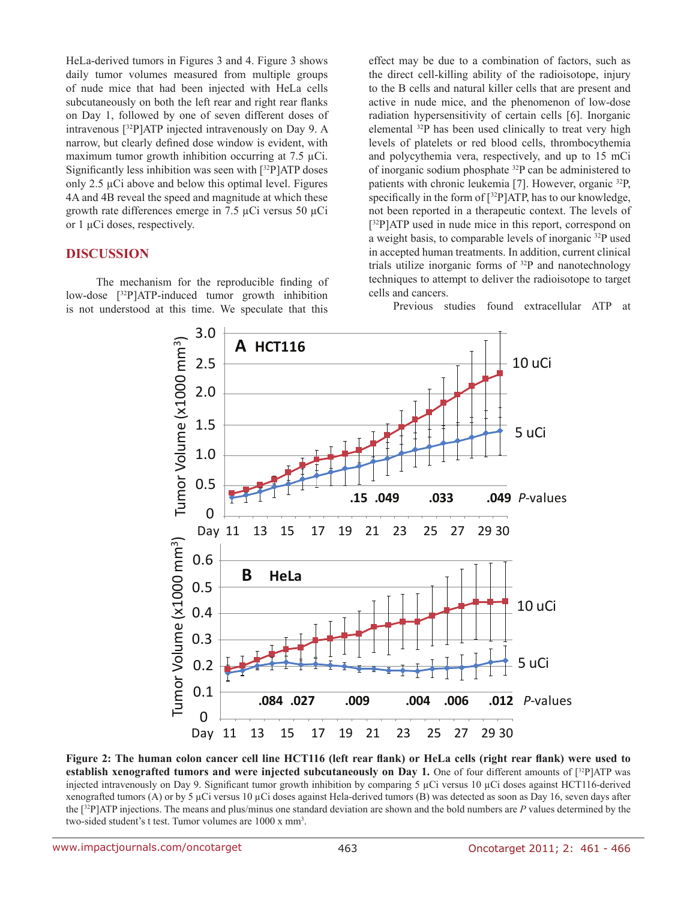HeLa-derived tumors in Figures 3 and 4. Figure 3 shows daily tumor volumes measured from multiple groups of nude mice that had been injected with HeLa cells subcutaneously on both the left rear and right rear flanks on Day 1, followed by one of seven different doses of intravenous [32P]ATP injected intravenously on Day 9. A narrow, but clearly defined dose window is evident, with maximum tumor growth inhibition occurring at 7.5 µCi. Significantly less inhibition was seen with [32P]ATP doses only  $2.5 \mu$ Ci above and below this optimal level. Figures 4A and 4B reveal the speed and magnitude at which these growth rate differences emerge in 7.5 µCi versus 50 µCi or 1 µCi doses, respectively.

# **DISCUSSION**

 The mechanism for the reproducible finding of low-dose [32P]ATP-induced tumor growth inhibition is not understood at this time. We speculate that this effect may be due to a combination of factors, such as the direct cell-killing ability of the radioisotope, injury to the B cells and natural killer cells that are present and active in nude mice, and the phenomenon of low-dose radiation hypersensitivity of certain cells [6]. Inorganic elemental 32P has been used clinically to treat very high levels of platelets or red blood cells, thrombocythemia and polycythemia vera, respectively, and up to 15 mCi of inorganic sodium phosphate 32P can be administered to patients with chronic leukemia [7]. However, organic 32P, specifically in the form of  $[32P]ATP$ , has to our knowledge, not been reported in a therapeutic context. The levels of [32P]ATP used in nude mice in this report, correspond on a weight basis, to comparable levels of inorganic 32P used in accepted human treatments. In addition, current clinical trials utilize inorganic forms of 32P and nanotechnology techniques to attempt to deliver the radioisotope to target cells and cancers.

Previous studies found extracellular ATP at



Figure 2: The human colon cancer cell line HCT116 (left rear flank) or HeLa cells (right rear flank) were used to **establish xenografted tumors and were injected subcutaneously on Day 1.** One of four different amounts of [32P]ATP was injected intravenously on Day 9. Significant tumor growth inhibition by comparing 5 µCi versus 10 µCi doses against HCT116-derived xenografted tumors (A) or by 5  $\mu$ Ci versus 10  $\mu$ Ci doses against Hela-derived tumors (B) was detected as soon as Day 16, seven days after the [32P]ATP injections. The means and plus/minus one standard deviation are shown and the bold numbers are *P* values determined by the two-sided student's t test. Tumor volumes are 1000 x mm<sup>3</sup>.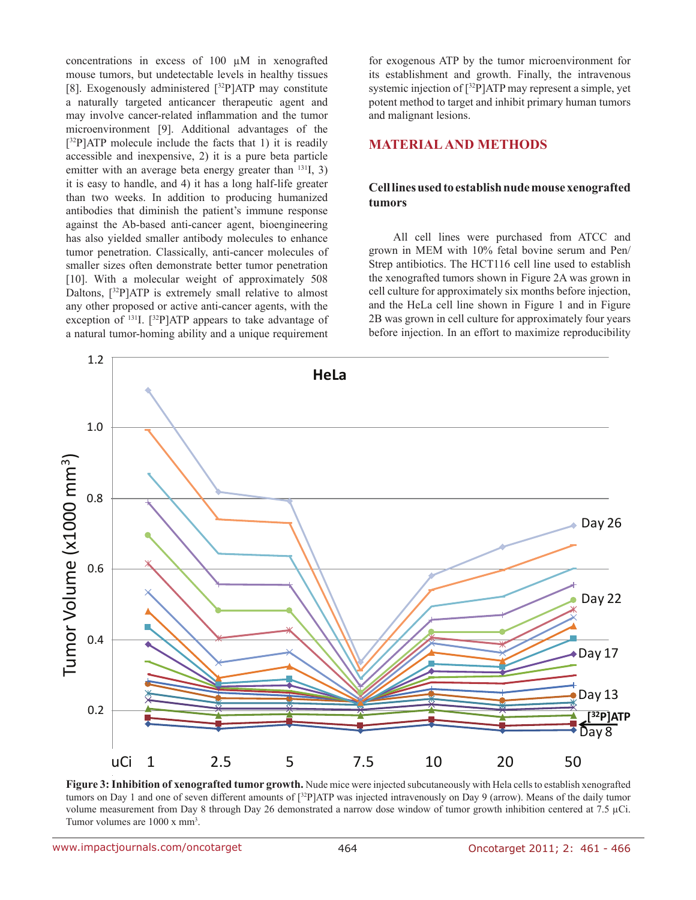concentrations in excess of 100 µM in xenografted mouse tumors, but undetectable levels in healthy tissues [8]. Exogenously administered  $[^{32}P]ATP$  may constitute a naturally targeted anticancer therapeutic agent and may involve cancer-related inflammation and the tumor microenvironment [9]. Additional advantages of the [ 32P]ATP molecule include the facts that 1) it is readily accessible and inexpensive, 2) it is a pure beta particle emitter with an average beta energy greater than <sup>131</sup>I, 3) it is easy to handle, and 4) it has a long half-life greater than two weeks. In addition to producing humanized antibodies that diminish the patient's immune response against the Ab-based anti-cancer agent, bioengineering has also yielded smaller antibody molecules to enhance tumor penetration. Classically, anti-cancer molecules of smaller sizes often demonstrate better tumor penetration [10]. With a molecular weight of approximately 508 Daltons,  $[32P]ATP$  is extremely small relative to almost any other proposed or active anti-cancer agents, with the exception of  $^{131}$ I.  $[{}^{32}P]$ ATP appears to take advantage of a natural tumor-homing ability and a unique requirement

for exogenous ATP by the tumor microenvironment for its establishment and growth. Finally, the intravenous systemic injection of [32P]ATP may represent a simple, yet potent method to target and inhibit primary human tumors and malignant lesions.

# **MATERIAL and METHODS**

#### **Cell lines used to establish nude mouse xenografted tumors**

All cell lines were purchased from ATCC and grown in MEM with 10% fetal bovine serum and Pen/ Strep antibiotics. The HCT116 cell line used to establish the xenografted tumors shown in Figure 2A was grown in cell culture for approximately six months before injection, and the HeLa cell line shown in Figure 1 and in Figure 2B was grown in cell culture for approximately four years before injection. In an effort to maximize reproducibility



Figure 3: Inhibition of xenografted tumor growth. Nude mice were injected subcutaneously with Hela cells to establish xenografted tumors on Day 1 and one of seven different amounts of [<sup>32</sup>P]ATP was injected intravenously on Day 9 (arrow). Means of the daily tumor volume measurement from Day 8 through Day 26 demonstrated a narrow dose window of tumor growth inhibition centered at 7.5 µCi. Tumor volumes are 1000 x mm<sup>3</sup>.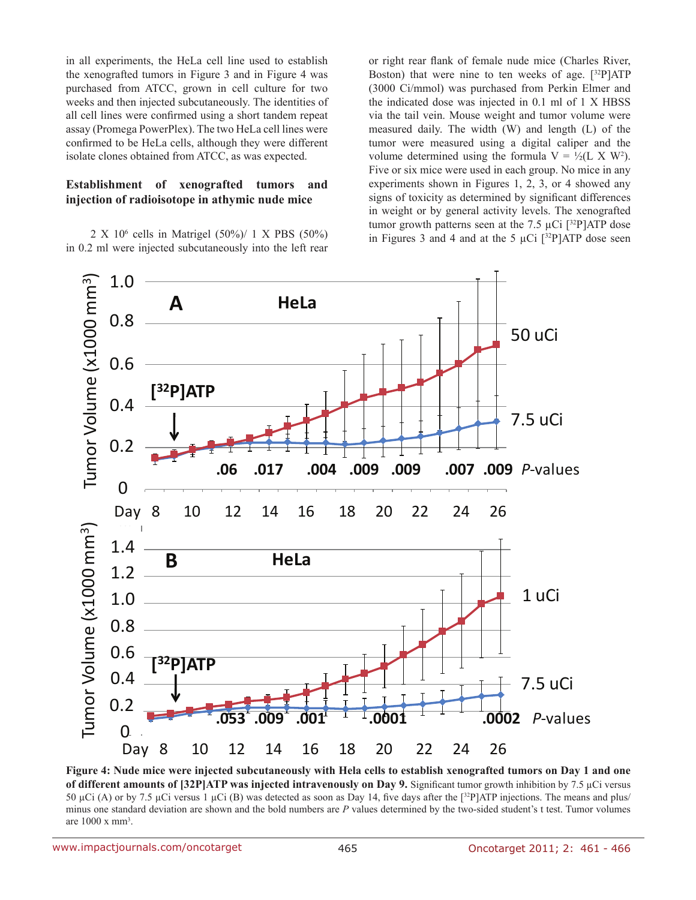in all experiments, the HeLa cell line used to establish the xenografted tumors in Figure 3 and in Figure 4 was purchased from ATCC, grown in cell culture for two weeks and then injected subcutaneously. The identities of all cell lines were confirmed using a short tandem repeat assay (Promega PowerPlex). The two HeLa cell lines were confirmed to be HeLa cells, although they were different isolate clones obtained from ATCC, as was expected.

#### **Establishment of xenografted tumors and injection of radioisotope in athymic nude mice**

2 X 106 cells in Matrigel (50%)/ 1 X PBS (50%) in 0.2 ml were injected subcutaneously into the left rear

or right rear flank of female nude mice (Charles River, Boston) that were nine to ten weeks of age.  $[32P]ATP$ (3000 Ci/mmol) was purchased from Perkin Elmer and the indicated dose was injected in 0.1 ml of 1 X HBSS via the tail vein. Mouse weight and tumor volume were measured daily. The width (W) and length (L) of the tumor were measured using a digital caliper and the volume determined using the formula  $V = \frac{1}{2}(L \times W^2)$ . Five or six mice were used in each group. No mice in any experiments shown in Figures 1, 2, 3, or 4 showed any signs of toxicity as determined by significant differences in weight or by general activity levels. The xenografted tumor growth patterns seen at the 7.5  $\mu$ Ci [<sup>32</sup>P]ATP dose in Figures 3 and 4 and at the 5  $\mu$ Ci [32P]ATP dose seen



**Figure 4: Nude mice were injected subcutaneously with Hela cells to establish xenografted tumors on Day 1 and one of different amounts of [32P]ATP was injected intravenously on Day 9.** Significant tumor growth inhibition by 7.5 µCi versus 50 µCi (A) or by 7.5 µCi versus 1 µCi (B) was detected as soon as Day 14, five days after the  $[32P]ATP$  injections. The means and plus/ minus one standard deviation are shown and the bold numbers are *P* values determined by the two-sided student's t test. Tumor volumes are 1000 x mm3 .